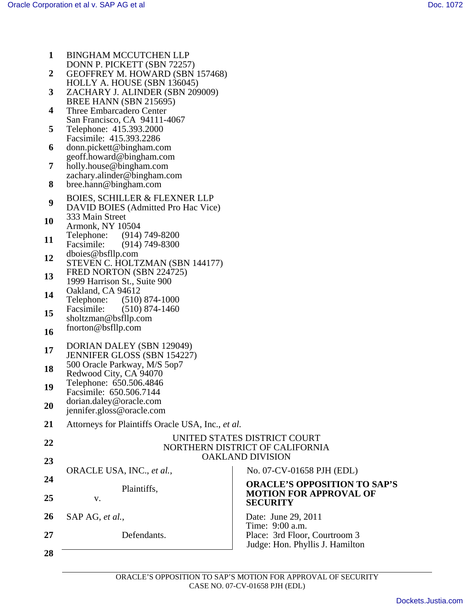| 1  | <b>BINGHAM MCCUTCHEN LLP</b>                                          |                                        |
|----|-----------------------------------------------------------------------|----------------------------------------|
|    | DONN P. PICKETT (SBN 72257)                                           |                                        |
| 2  | <b>GEOFFREY M. HOWARD (SBN 157468)</b><br>HOLLY A. HOUSE (SBN 136045) |                                        |
| 3  | ZACHARY J. ALINDER (SBN 209009)                                       |                                        |
|    | BREE HANN (SBN 215695)                                                |                                        |
| 4  | Three Embarcadero Center                                              |                                        |
|    | San Francisco, CA 94111-4067                                          |                                        |
| 5  | Telephone: 415.393.2000                                               |                                        |
|    | Facsimile: 415.393.2286                                               |                                        |
| 6  | donn.pickett@bingham.com                                              |                                        |
|    | geoff.howard@bingham.com                                              |                                        |
| 7  | holly.house@bingham.com                                               |                                        |
|    | zachary.alinder@bingham.com                                           |                                        |
| 8  | bree.hann@bingham.com                                                 |                                        |
| 9  | <b>BOIES, SCHILLER &amp; FLEXNER LLP</b>                              |                                        |
|    | DAVID BOIES (Admitted Pro Hac Vice)                                   |                                        |
| 10 | 333 Main Street                                                       |                                        |
|    | Armonk, NY 10504                                                      |                                        |
| 11 | $(914) 749 - 8200$<br>Telephone:                                      |                                        |
|    | Facsimile:<br>$(914) 749 - 8300$                                      |                                        |
| 12 | dboies@bsfllp.com                                                     |                                        |
|    | STEVEN C. HOLTZMAN (SBN 144177)<br>FRED NORTON (SBN 224725)           |                                        |
| 13 | 1999 Harrison St., Suite 900                                          |                                        |
|    | Oakland, CA 94612                                                     |                                        |
| 14 | Telephone:<br>$(510)$ 874-1000                                        |                                        |
|    | Facsimile:<br>$(510)$ 874-1460                                        |                                        |
| 15 | sholtzman@bsfllp.com                                                  |                                        |
| 16 | fnorton@bsfllp.com                                                    |                                        |
|    |                                                                       |                                        |
| 17 | DORIAN DALEY (SBN 129049)                                             |                                        |
|    | <b>JENNIFER GLOSS (SBN 154227)</b>                                    |                                        |
| 18 | 500 Oracle Parkway, M/S 5op7<br>Redwood City, CA 94070                |                                        |
|    | Telephone: 650.506.4846                                               |                                        |
| 19 | Facsimile: 650.506.7144                                               |                                        |
|    | dorian.daley@oracle.com                                               |                                        |
| 20 | jennifer.gloss@oracle.com                                             |                                        |
| 21 | Attorneys for Plaintiffs Oracle USA, Inc., et al.                     |                                        |
|    |                                                                       |                                        |
| 22 |                                                                       | UNITED STATES DISTRICT COURT           |
|    |                                                                       | NORTHERN DISTRICT OF CALIFORNIA        |
| 23 |                                                                       | <b>OAKLAND DIVISION</b>                |
|    | ORACLE USA, INC., et al.,                                             | No. 07-CV-01658 PJH (EDL)              |
| 24 |                                                                       | <b>ORACLE'S OPPOSITION TO SAP'S</b>    |
|    | Plaintiffs,                                                           | <b>MOTION FOR APPROVAL OF</b>          |
| 25 | V.                                                                    | <b>SECURITY</b>                        |
| 26 |                                                                       |                                        |
|    | SAP AG, et al.,                                                       | Date: June 29, 2011<br>Time: 9:00 a.m. |
| 27 | Defendants.                                                           | Place: 3rd Floor, Courtroom 3          |
|    |                                                                       | Judge: Hon. Phyllis J. Hamilton        |
| 28 |                                                                       |                                        |
|    |                                                                       |                                        |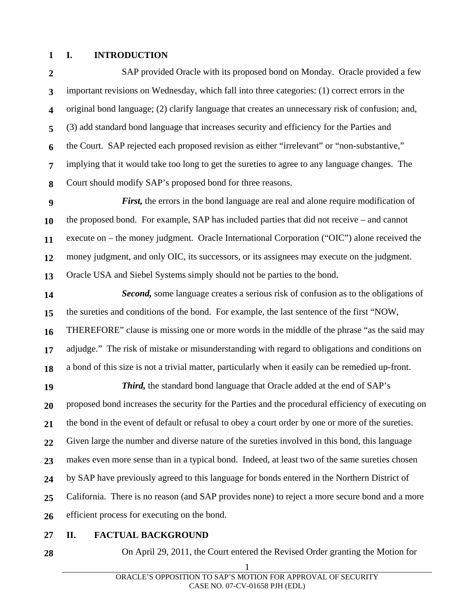## **1 I. INTRODUCTION**

**2 3 4 5 6 7 8**  SAP provided Oracle with its proposed bond on Monday. Oracle provided a few important revisions on Wednesday, which fall into three categories: (1) correct errors in the original bond language; (2) clarify language that creates an unnecessary risk of confusion; and, (3) add standard bond language that increases security and efficiency for the Parties and the Court. SAP rejected each proposed revision as either "irrelevant" or "non-substantive," implying that it would take too long to get the sureties to agree to any language changes. The Court should modify SAP's proposed bond for three reasons.

**9 10 11 12 13**  *First,* the errors in the bond language are real and alone require modification of the proposed bond. For example, SAP has included parties that did not receive – and cannot execute on – the money judgment. Oracle International Corporation ("OIC") alone received the money judgment, and only OIC, its successors, or its assignees may execute on the judgment. Oracle USA and Siebel Systems simply should not be parties to the bond.

**14 15 16 17 18**  *Second,* some language creates a serious risk of confusion as to the obligations of the sureties and conditions of the bond. For example, the last sentence of the first "NOW, THEREFORE" clause is missing one or more words in the middle of the phrase "as the said may adjudge." The risk of mistake or misunderstanding with regard to obligations and conditions on a bond of this size is not a trivial matter, particularly when it easily can be remedied up-front.

**19 20 21 22 23 24 25 26**  *Third,* the standard bond language that Oracle added at the end of SAP's proposed bond increases the security for the Parties and the procedural efficiency of executing on the bond in the event of default or refusal to obey a court order by one or more of the sureties. Given large the number and diverse nature of the sureties involved in this bond, this language makes even more sense than in a typical bond. Indeed, at least two of the same sureties chosen by SAP have previously agreed to this language for bonds entered in the Northern District of California. There is no reason (and SAP provides none) to reject a more secure bond and a more efficient process for executing on the bond.

- **27 II. FACTUAL BACKGROUND**
- **28**

On April 29, 2011, the Court entered the Revised Order granting the Motion for

1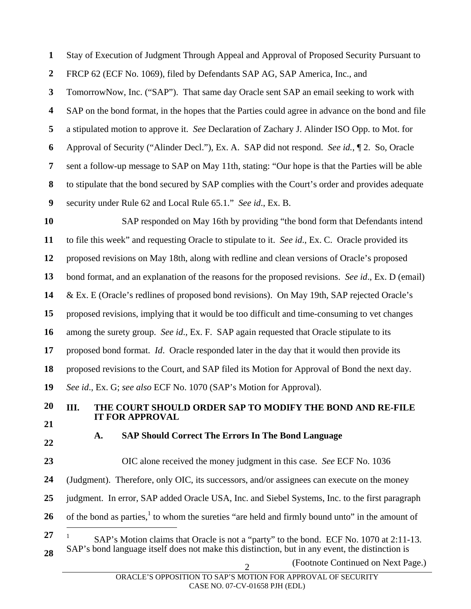**1 2 3 4 5 6 7 8 9 10 11 12 13 14 15 16 17 18 19 20 21 22 23 24 25 26**  Stay of Execution of Judgment Through Appeal and Approval of Proposed Security Pursuant to FRCP 62 (ECF No. 1069), filed by Defendants SAP AG, SAP America, Inc., and TomorrowNow, Inc. ("SAP"). That same day Oracle sent SAP an email seeking to work with SAP on the bond format, in the hopes that the Parties could agree in advance on the bond and file a stipulated motion to approve it. *See* Declaration of Zachary J. Alinder ISO Opp. to Mot. for Approval of Security ("Alinder Decl."), Ex. A. SAP did not respond. *See id.*, ¶ 2. So, Oracle sent a follow-up message to SAP on May 11th, stating: "Our hope is that the Parties will be able to stipulate that the bond secured by SAP complies with the Court's order and provides adequate security under Rule 62 and Local Rule 65.1." *See id*., Ex. B. SAP responded on May 16th by providing "the bond form that Defendants intend to file this week" and requesting Oracle to stipulate to it. *See id*., Ex. C. Oracle provided its proposed revisions on May 18th, along with redline and clean versions of Oracle's proposed bond format, and an explanation of the reasons for the proposed revisions. *See id*., Ex. D (email) & Ex. E (Oracle's redlines of proposed bond revisions). On May 19th, SAP rejected Oracle's proposed revisions, implying that it would be too difficult and time-consuming to vet changes among the surety group. *See id*., Ex. F. SAP again requested that Oracle stipulate to its proposed bond format. *Id*. Oracle responded later in the day that it would then provide its proposed revisions to the Court, and SAP filed its Motion for Approval of Bond the next day. *See id*., Ex. G; *see also* ECF No. 1070 (SAP's Motion for Approval). **III. THE COURT SHOULD ORDER SAP TO MODIFY THE BOND AND RE-FILE IT FOR APPROVAL A. SAP Should Correct The Errors In The Bond Language**  OIC alone received the money judgment in this case. *See* ECF No. 1036 (Judgment). Therefore, only OIC, its successors, and/or assignees can execute on the money judgment. In error, SAP added Oracle USA, Inc. and Siebel Systems, Inc. to the first paragraph of the bond as parties, $<sup>1</sup>$  to whom the sureties "are held and firmly bound unto" in the amount of</sup>  $\overline{a}$ 

**27 28**  1 SAP's Motion claims that Oracle is not a "party" to the bond. ECF No. 1070 at 2:11-13. SAP's bond language itself does not make this distinction, but in any event, the distinction is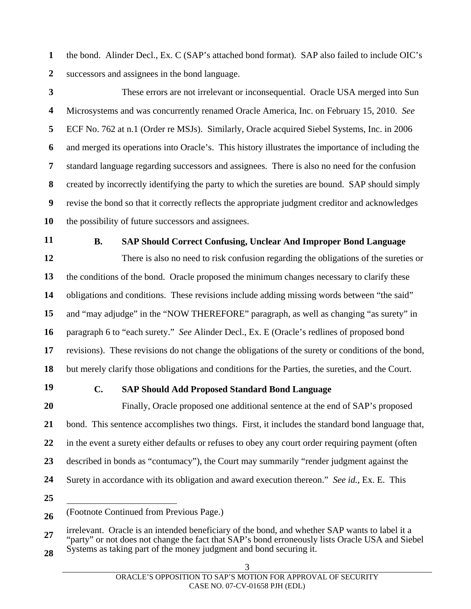**1 2**  the bond. Alinder Decl., Ex. C (SAP's attached bond format). SAP also failed to include OIC's successors and assignees in the bond language.

**3 4 5 6 7 8 9 10**  These errors are not irrelevant or inconsequential. Oracle USA merged into Sun Microsystems and was concurrently renamed Oracle America, Inc. on February 15, 2010. *See* ECF No. 762 at n.1 (Order re MSJs). Similarly, Oracle acquired Siebel Systems, Inc. in 2006 and merged its operations into Oracle's. This history illustrates the importance of including the standard language regarding successors and assignees. There is also no need for the confusion created by incorrectly identifying the party to which the sureties are bound. SAP should simply revise the bond so that it correctly reflects the appropriate judgment creditor and acknowledges the possibility of future successors and assignees.

**11** 

## **B. SAP Should Correct Confusing, Unclear And Improper Bond Language**

**12 13 14 15 16 17 18**  There is also no need to risk confusion regarding the obligations of the sureties or the conditions of the bond. Oracle proposed the minimum changes necessary to clarify these obligations and conditions. These revisions include adding missing words between "the said" and "may adjudge" in the "NOW THEREFORE" paragraph, as well as changing "as surety" in paragraph 6 to "each surety." *See* Alinder Decl., Ex. E (Oracle's redlines of proposed bond revisions). These revisions do not change the obligations of the surety or conditions of the bond, but merely clarify those obligations and conditions for the Parties, the sureties, and the Court.

**19** 

## **C. SAP Should Add Proposed Standard Bond Language**

**20 21 22 23 24**  Finally, Oracle proposed one additional sentence at the end of SAP's proposed bond. This sentence accomplishes two things. First, it includes the standard bond language that, in the event a surety either defaults or refuses to obey any court order requiring payment (often described in bonds as "contumacy"), the Court may summarily "render judgment against the Surety in accordance with its obligation and award execution thereon." *See id.*, Ex. E. This

**25** 

 $\overline{a}$ 

**<sup>26</sup>**  (Footnote Continued from Previous Page.)

**<sup>27</sup>**  irrelevant. Oracle is an intended beneficiary of the bond, and whether SAP wants to label it a "party" or not does not change the fact that SAP's bond erroneously lists Oracle USA and Siebel Systems as taking part of the money judgment and bond securing it.